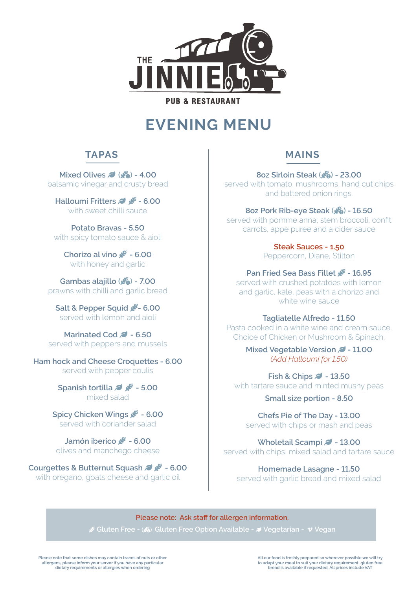

# **EVENING MENU**

# **TAPAS**

**Mixed Olives <b>J** ( $\frac{1}{20}$ ) - 4.00 balsamic vinegar and crusty bread

**Halloumi Fritters & & - 6.00** with sweet chilli sauce

**Potato Bravas - 5.50** with spicy tomato sauce & aioli

**Chorizo al vino WHEAT-BL** with honey and garlic

**Gambas alajillo (**WHEAT-AWN-CIRCLE-EXCLAMATION**) - 7.00** prawns with chilli and garlic bread

**Salt & Pepper Squid** WHEAT-ALT**- 6.00** served with lemon and aioli

**Marinated Cod 2 - 6.50** served with peppers and mussels

**Ham hock and Cheese Croquettes - 6.00** served with pepper coulis

> **Spanish tortilla**  $\rightarrow$   $\cdot$  5.00 mixed salad

**Spicy Chicken Wings** WHEAT-ALT **- 6.00** served with coriander salad

**Jamón iberico WH** - 6.00 olives and manchego cheese

**Courgettes & Butternut Squash & 4 + 6.00** with oregano, goats cheese and garlic oil

# **MAINS**

**8oz Sirloin Steak (** $\frac{\mathcal{M}_{\mathbf{a}}}{\mathcal{M}_{\mathbf{a}}}$ **) <b>- 23.00** served with tomato, mushrooms, hand cut chips and battered onion rings.

**8oz Pork Rib-eye Steak (** $\frac{1}{20}$ **)** - 16.50 served with pomme anna, stem broccoli, confit carrots, appe puree and a cider sauce

> **Steak Sauces - 1.50** Peppercorn, Diane, Stilton

**Pan Fried Sea Bass Fillet WHEAT-16.95** served with crushed potatoes with lemon and garlic, kale, peas with a chorizo and white wine sauce

#### **Tagliatelle Alfredo - 11.50**

Pasta cooked in a white wine and cream sauce. Choice of Chicken or Mushroom & Spinach.

> **Mixed Vegetable Version**  $\blacktriangledown$  **- 11.00** *(Add Halloumi for 1.50)*

**Fish & Chips**  $\blacktriangleright$  **- 13.50** with tartare sauce and minted mushy peas

**Small size portion - 8.50**

**Chefs Pie of The Day - 13.00** served with chips or mash and peas

**Wholetail Scampi**  $\blacktriangleright$  **- 13.00** served with chips, mixed salad and tartare sauce

**Homemade Lasagne - 11.50** served with garlic bread and mixed salad

**Please note: Ask staff for allergen information.**  WHEAT-ALT **Gluten Free - (**WHEAT-AWN-CIRCLE-EXCLAMATION**) Gluten Free Option Available -** LEAF **Vegetarian -** VIMEO-V **Vegan**

**Please note that some dishes may contain traces of nuts or other allergens, please inform your server if you have any particular dietary requirements or allergies when ordering**

**All our food is freshly prepared so wherever possible we will try to adapt your meal to suit your dietary requirement, gluten free bread is available if requested. All prices include VAT**